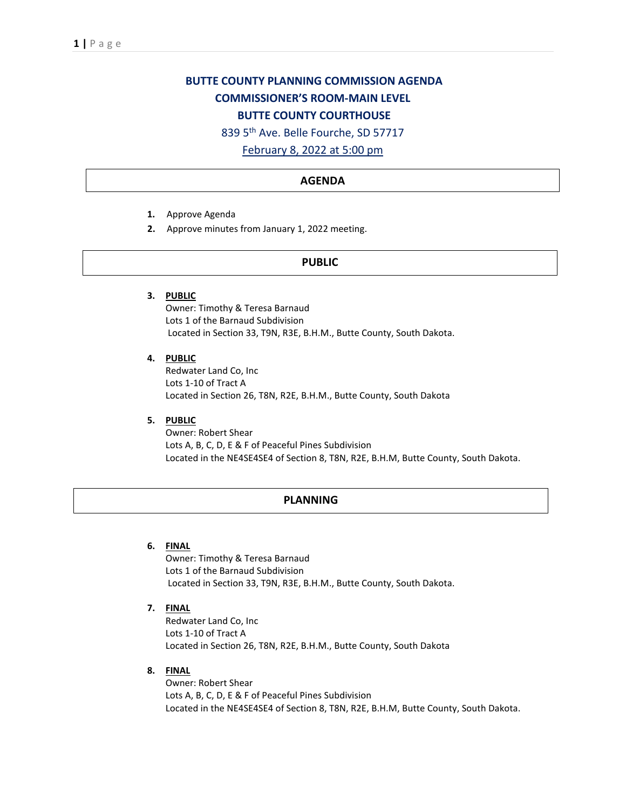# **BUTTE COUNTY PLANNING COMMISSION AGENDA COMMISSIONER'S ROOM-MAIN LEVEL BUTTE COUNTY COURTHOUSE**

839 5th Ave. Belle Fourche, SD 57717

February 8, 2022 at 5:00 pm

## **AGENDA**

- **1.** Approve Agenda
- **2.** Approve minutes from January 1, 2022 meeting.

## **PUBLIC**

**3. PUBLIC**

Owner: Timothy & Teresa Barnaud Lots 1 of the Barnaud Subdivision Located in Section 33, T9N, R3E, B.H.M., Butte County, South Dakota.

**4. PUBLIC**

Redwater Land Co, Inc Lots 1-10 of Tract A Located in Section 26, T8N, R2E, B.H.M., Butte County, South Dakota

**5. PUBLIC**

Owner: Robert Shear Lots A, B, C, D, E & F of Peaceful Pines Subdivision Located in the NE4SE4SE4 of Section 8, T8N, R2E, B.H.M, Butte County, South Dakota.

# **PLANNING**

## **6. FINAL**

Owner: Timothy & Teresa Barnaud Lots 1 of the Barnaud Subdivision Located in Section 33, T9N, R3E, B.H.M., Butte County, South Dakota.

**7. FINAL**

Redwater Land Co, Inc Lots 1-10 of Tract A Located in Section 26, T8N, R2E, B.H.M., Butte County, South Dakota

**8. FINAL**

Owner: Robert Shear Lots A, B, C, D, E & F of Peaceful Pines Subdivision Located in the NE4SE4SE4 of Section 8, T8N, R2E, B.H.M, Butte County, South Dakota.